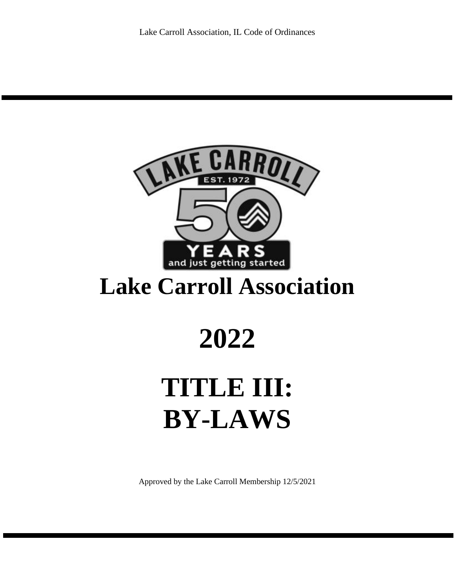

## **Lake Carroll Association**

# **2022**

# **TITLE III: BY-LAWS**

Approved by the Lake Carroll Membership 12/5/2021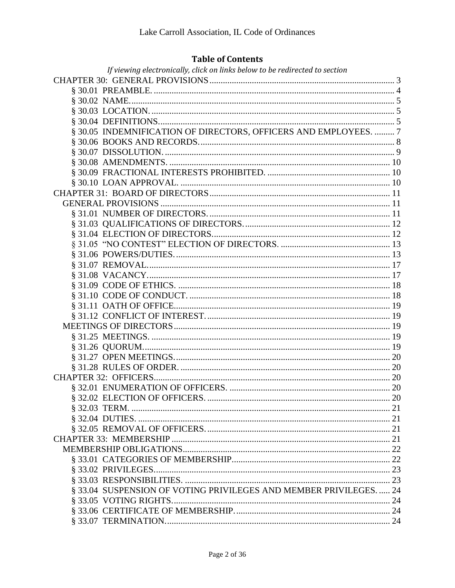## **Table of Contents**

| If viewing electronically, click on links below to be redirected to section |  |
|-----------------------------------------------------------------------------|--|
|                                                                             |  |
|                                                                             |  |
|                                                                             |  |
|                                                                             |  |
|                                                                             |  |
| § 30.05 INDEMNIFICATION OF DIRECTORS, OFFICERS AND EMPLOYEES.  7            |  |
|                                                                             |  |
|                                                                             |  |
|                                                                             |  |
|                                                                             |  |
|                                                                             |  |
|                                                                             |  |
|                                                                             |  |
|                                                                             |  |
|                                                                             |  |
|                                                                             |  |
|                                                                             |  |
|                                                                             |  |
|                                                                             |  |
|                                                                             |  |
|                                                                             |  |
|                                                                             |  |
|                                                                             |  |
|                                                                             |  |
|                                                                             |  |
|                                                                             |  |
|                                                                             |  |
|                                                                             |  |
|                                                                             |  |
|                                                                             |  |
|                                                                             |  |
|                                                                             |  |
|                                                                             |  |
|                                                                             |  |
|                                                                             |  |
|                                                                             |  |
|                                                                             |  |
|                                                                             |  |
|                                                                             |  |
|                                                                             |  |
| § 33.04 SUSPENSION OF VOTING PRIVILEGES AND MEMBER PRIVILEGES 24            |  |
|                                                                             |  |
|                                                                             |  |
|                                                                             |  |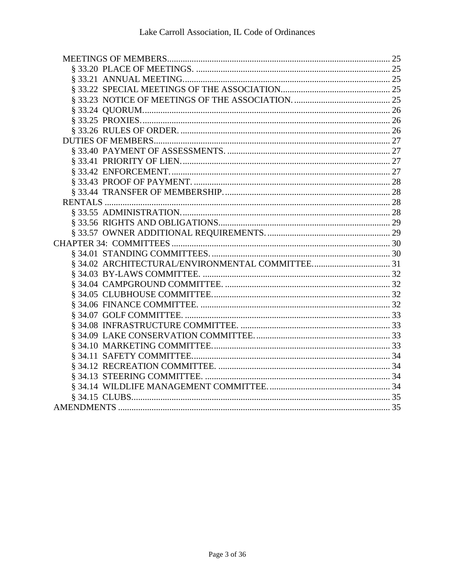<span id="page-2-0"></span>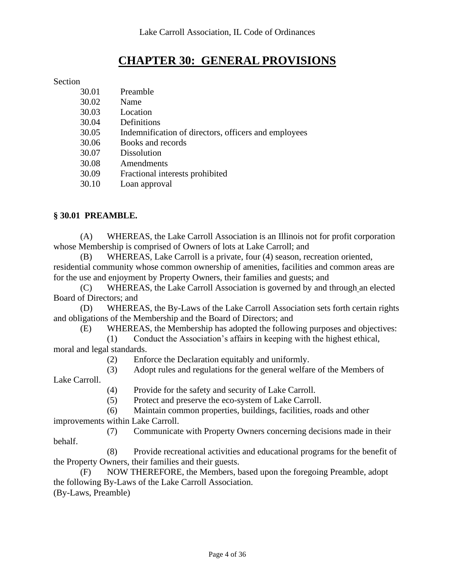## **CHAPTER 30: GENERAL PROVISIONS**

## Section

| 30.01 | Preamble                                             |
|-------|------------------------------------------------------|
| 30.02 | Name                                                 |
| 30.03 | Location                                             |
| 30.04 | Definitions                                          |
| 30.05 | Indemnification of directors, officers and employees |
| 30.06 | Books and records                                    |
| 30.07 | <b>Dissolution</b>                                   |
| 30.08 | Amendments                                           |
| 30.09 | Fractional interests prohibited                      |
| 30.10 | Loan approval                                        |
|       |                                                      |

## <span id="page-3-0"></span>**§ 30.01 PREAMBLE.**

(A) WHEREAS, the Lake Carroll Association is an Illinois not for profit corporation whose Membership is comprised of Owners of lots at Lake Carroll; and

(B) WHEREAS, Lake Carroll is a private, four (4) season, recreation oriented, residential community whose common ownership of amenities, facilities and common areas are for the use and enjoyment by Property Owners, their families and guests; and

(C) WHEREAS, the Lake Carroll Association is governed by and through an elected Board of Directors; and

(D) WHEREAS, the By-Laws of the Lake Carroll Association sets forth certain rights and obligations of the Membership and the Board of Directors; and

(E) WHEREAS, the Membership has adopted the following purposes and objectives:

(1) Conduct the Association's affairs in keeping with the highest ethical, moral and legal standards.

(2) Enforce the Declaration equitably and uniformly.

(3) Adopt rules and regulations for the general welfare of the Members of Lake Carroll.

(4) Provide for the safety and security of Lake Carroll.

(5) Protect and preserve the eco-system of Lake Carroll.

(6) Maintain common properties, buildings, facilities, roads and other improvements within Lake Carroll.

(7) Communicate with Property Owners concerning decisions made in their behalf.

(8) Provide recreational activities and educational programs for the benefit of the Property Owners, their families and their guests.

(F) NOW THEREFORE, the Members, based upon the foregoing Preamble, adopt the following By-Laws of the Lake Carroll Association. (By-Laws, Preamble)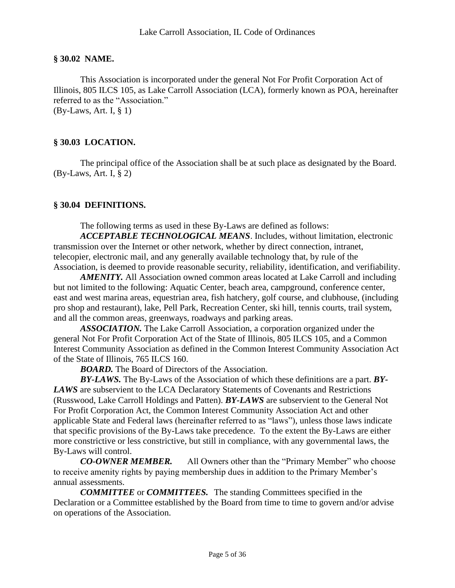#### <span id="page-4-0"></span>**§ 30.02 NAME.**

This Association is incorporated under the general Not For Profit Corporation Act of Illinois, 805 ILCS 105, as Lake Carroll Association (LCA), formerly known as POA, hereinafter referred to as the "Association." (By-Laws, Art. I, § 1)

## <span id="page-4-1"></span>**§ 30.03 LOCATION.**

<span id="page-4-2"></span>The principal office of the Association shall be at such place as designated by the Board. (By-Laws, Art. I, § 2)

#### **§ 30.04 DEFINITIONS.**

The following terms as used in these By-Laws are defined as follows:

*ACCEPTABLE TECHNOLOGICAL MEANS*. Includes, without limitation, electronic transmission over the Internet or other network, whether by direct connection, intranet, telecopier, electronic mail, and any generally available technology that, by rule of the Association, is deemed to provide reasonable security, reliability, identification, and verifiability.

*AMENITY.* All Association owned common areas located at Lake Carroll and including but not limited to the following: Aquatic Center, beach area, campground, conference center, east and west marina areas, equestrian area, fish hatchery, golf course, and clubhouse, (including pro shop and restaurant), lake, Pell Park, Recreation Center, ski hill, tennis courts, trail system, and all the common areas, greenways, roadways and parking areas.

*ASSOCIATION.* The Lake Carroll Association, a corporation organized under the general Not For Profit Corporation Act of the State of Illinois, 805 ILCS 105, and a Common Interest Community Association as defined in the Common Interest Community Association Act of the State of Illinois, 765 ILCS 160.

*BOARD.* The Board of Directors of the Association.

*BY-LAWS.* The By-Laws of the Association of which these definitions are a part. *BY-LAWS* are subservient to the LCA Declaratory Statements of Covenants and Restrictions (Russwood, Lake Carroll Holdings and Patten). *BY-LAWS* are subservient to the General Not For Profit Corporation Act, the Common Interest Community Association Act and other applicable State and Federal laws (hereinafter referred to as "laws"), unless those laws indicate that specific provisions of the By-Laws take precedence. To the extent the By-Laws are either more constrictive or less constrictive, but still in compliance, with any governmental laws, the By-Laws will control.

*CO-OWNER MEMBER.* All Owners other than the "Primary Member" who choose to receive amenity rights by paying membership dues in addition to the Primary Member's annual assessments.

*COMMITTEE* or *COMMITTEES.* The standing Committees specified in the Declaration or a Committee established by the Board from time to time to govern and/or advise on operations of the Association.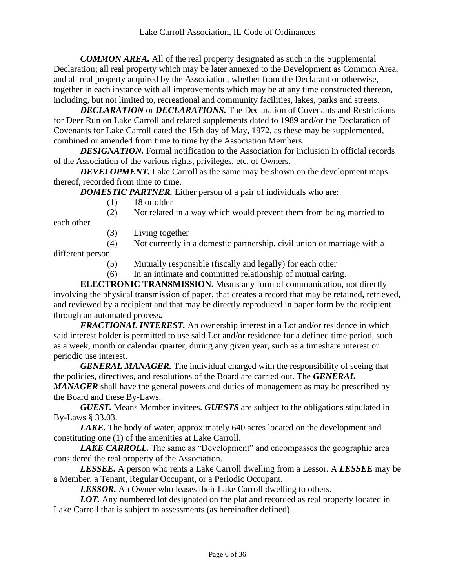*COMMON AREA.* All of the real property designated as such in the Supplemental Declaration; all real property which may be later annexed to the Development as Common Area, and all real property acquired by the Association, whether from the Declarant or otherwise, together in each instance with all improvements which may be at any time constructed thereon, including, but not limited to, recreational and community facilities, lakes, parks and streets.

*DECLARATION* or *DECLARATIONS.* The Declaration of Covenants and Restrictions for Deer Run on Lake Carroll and related supplements dated to 1989 and/or the Declaration of Covenants for Lake Carroll dated the 15th day of May, 1972, as these may be supplemented, combined or amended from time to time by the Association Members.

**DESIGNATION.** Formal notification to the Association for inclusion in official records of the Association of the various rights, privileges, etc. of Owners.

*DEVELOPMENT*. Lake Carroll as the same may be shown on the development maps thereof, recorded from time to time.

**DOMESTIC PARTNER.** Either person of a pair of individuals who are:

 $(1)$  18 or older

(2) Not related in a way which would prevent them from being married to

each other

- (3) Living together
- (4) Not currently in a domestic partnership, civil union or marriage with a

different person

- (5) Mutually responsible (fiscally and legally) for each other
- (6) In an intimate and committed relationship of mutual caring.

**ELECTRONIC TRANSMISSION.** Means any form of communication, not directly involving the physical transmission of paper, that creates a record that may be retained, retrieved, and reviewed by a recipient and that may be directly reproduced in paper form by the recipient through an automated process**.**

*FRACTIONAL INTEREST.* An ownership interest in a Lot and/or residence in which said interest holder is permitted to use said Lot and/or residence for a defined time period, such as a week, month or calendar quarter, during any given year, such as a timeshare interest or periodic use interest.

*GENERAL MANAGER.* The individual charged with the responsibility of seeing that the policies, directives, and resolutions of the Board are carried out. The *GENERAL*  MANAGER shall have the general powers and duties of management as may be prescribed by the Board and these By-Laws.

*GUEST.* Means Member invitees. *GUESTS* are subject to the obligations stipulated in By-Laws § 33.03.

*LAKE.* The body of water, approximately 640 acres located on the development and constituting one (1) of the amenities at Lake Carroll.

*LAKE CARROLL*. The same as "Development" and encompasses the geographic area considered the real property of the Association.

*LESSEE.* A person who rents a Lake Carroll dwelling from a Lessor. A *LESSEE* may be a Member, a Tenant, Regular Occupant, or a Periodic Occupant.

*LESSOR.* An Owner who leases their Lake Carroll dwelling to others.

*LOT.* Any numbered lot designated on the plat and recorded as real property located in Lake Carroll that is subject to assessments (as hereinafter defined).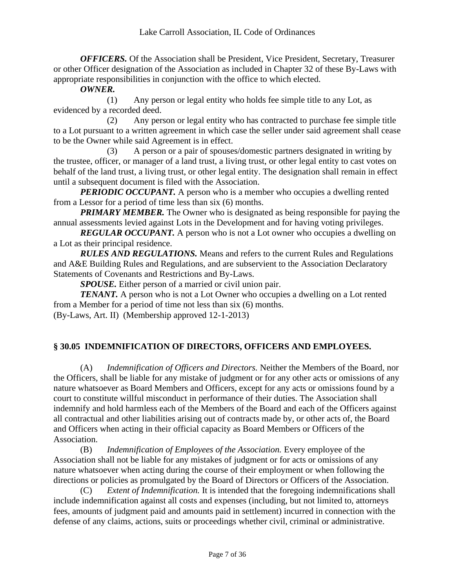*OFFICERS*. Of the Association shall be President, Vice President, Secretary, Treasurer or other Officer designation of the Association as included in Chapter 32 of these By-Laws with appropriate responsibilities in conjunction with the office to which elected.

## *OWNER.*

(1) Any person or legal entity who holds fee simple title to any Lot, as evidenced by a recorded deed.

(2) Any person or legal entity who has contracted to purchase fee simple title to a Lot pursuant to a written agreement in which case the seller under said agreement shall cease to be the Owner while said Agreement is in effect.

(3) A person or a pair of spouses/domestic partners designated in writing by the trustee, officer, or manager of a land trust, a living trust, or other legal entity to cast votes on behalf of the land trust, a living trust, or other legal entity. The designation shall remain in effect until a subsequent document is filed with the Association.

*PERIODIC OCCUPANT*. A person who is a member who occupies a dwelling rented from a Lessor for a period of time less than six (6) months.

*PRIMARY MEMBER.* The Owner who is designated as being responsible for paying the annual assessments levied against Lots in the Development and for having voting privileges.

**REGULAR OCCUPANT.** A person who is not a Lot owner who occupies a dwelling on a Lot as their principal residence.

*RULES AND REGULATIONS.* Means and refers to the current Rules and Regulations and A&E Building Rules and Regulations, and are subservient to the Association Declaratory Statements of Covenants and Restrictions and By-Laws.

*SPOUSE.* Either person of a married or civil union pair.

*TENANT.* A person who is not a Lot Owner who occupies a dwelling on a Lot rented from a Member for a period of time not less than six (6) months. (By-Laws, Art. II) (Membership approved 12-1-2013)

<span id="page-6-0"></span>

## **§ 30.05 INDEMNIFICATION OF DIRECTORS, OFFICERS AND EMPLOYEES.**

(A) *Indemnification of Officers and Directors.* Neither the Members of the Board, nor the Officers, shall be liable for any mistake of judgment or for any other acts or omissions of any nature whatsoever as Board Members and Officers, except for any acts or omissions found by a court to constitute willful misconduct in performance of their duties. The Association shall indemnify and hold harmless each of the Members of the Board and each of the Officers against all contractual and other liabilities arising out of contracts made by, or other acts of, the Board and Officers when acting in their official capacity as Board Members or Officers of the Association.

(B) *Indemnification of Employees of the Association.* Every employee of the Association shall not be liable for any mistakes of judgment or for acts or omissions of any nature whatsoever when acting during the course of their employment or when following the directions or policies as promulgated by the Board of Directors or Officers of the Association.

(C) *Extent of Indemnification.* It is intended that the foregoing indemnifications shall include indemnification against all costs and expenses (including, but not limited to, attorneys fees, amounts of judgment paid and amounts paid in settlement) incurred in connection with the defense of any claims, actions, suits or proceedings whether civil, criminal or administrative.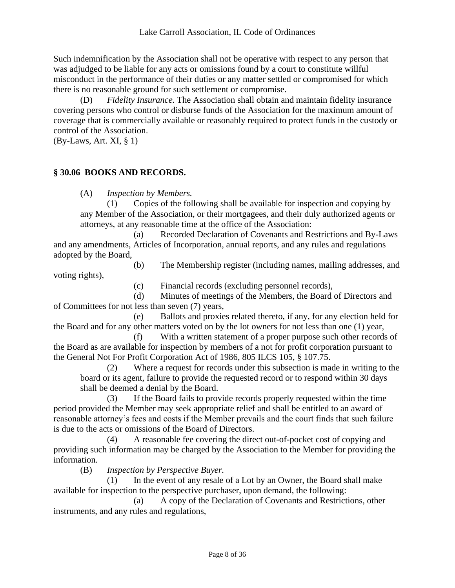Such indemnification by the Association shall not be operative with respect to any person that was adjudged to be liable for any acts or omissions found by a court to constitute willful misconduct in the performance of their duties or any matter settled or compromised for which there is no reasonable ground for such settlement or compromise.

(D) *Fidelity Insurance.* The Association shall obtain and maintain fidelity insurance covering persons who control or disburse funds of the Association for the maximum amount of coverage that is commercially available or reasonably required to protect funds in the custody or control of the Association.

<span id="page-7-0"></span>(By-Laws, Art. XI, § 1)

## **§ 30.06 BOOKS AND RECORDS.**

(A) *Inspection by Members.*

(1) Copies of the following shall be available for inspection and copying by any Member of the Association, or their mortgagees, and their duly authorized agents or attorneys, at any reasonable time at the office of the Association:

(a) Recorded Declaration of Covenants and Restrictions and By-Laws and any amendments, Articles of Incorporation, annual reports, and any rules and regulations adopted by the Board,

(b) The Membership register (including names, mailing addresses, and voting rights),

(c) Financial records (excluding personnel records),

(d) Minutes of meetings of the Members, the Board of Directors and of Committees for not less than seven (7) years,

(e) Ballots and proxies related thereto, if any, for any election held for the Board and for any other matters voted on by the lot owners for not less than one (1) year,

(f) With a written statement of a proper purpose such other records of the Board as are available for inspection by members of a not for profit corporation pursuant to the General Not For Profit Corporation Act of 1986, 805 ILCS 105, § 107.75.

(2) Where a request for records under this subsection is made in writing to the board or its agent, failure to provide the requested record or to respond within 30 days shall be deemed a denial by the Board.

(3) If the Board fails to provide records properly requested within the time period provided the Member may seek appropriate relief and shall be entitled to an award of reasonable attorney's fees and costs if the Member prevails and the court finds that such failure is due to the acts or omissions of the Board of Directors.

(4) A reasonable fee covering the direct out-of-pocket cost of copying and providing such information may be charged by the Association to the Member for providing the information.

(B) *Inspection by Perspective Buyer.*

(1) In the event of any resale of a Lot by an Owner, the Board shall make available for inspection to the perspective purchaser, upon demand, the following:

(a) A copy of the Declaration of Covenants and Restrictions, other instruments, and any rules and regulations,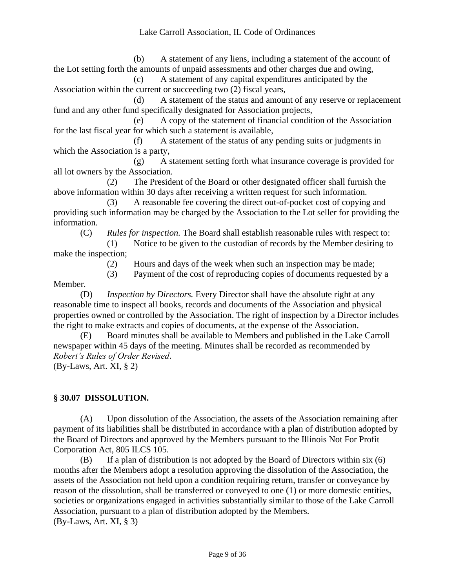(b) A statement of any liens, including a statement of the account of the Lot setting forth the amounts of unpaid assessments and other charges due and owing,

(c) A statement of any capital expenditures anticipated by the Association within the current or succeeding two (2) fiscal years,

(d) A statement of the status and amount of any reserve or replacement fund and any other fund specifically designated for Association projects,

(e) A copy of the statement of financial condition of the Association for the last fiscal year for which such a statement is available,

(f) A statement of the status of any pending suits or judgments in which the Association is a party,

(g) A statement setting forth what insurance coverage is provided for all lot owners by the Association.

(2) The President of the Board or other designated officer shall furnish the above information within 30 days after receiving a written request for such information.

(3) A reasonable fee covering the direct out-of-pocket cost of copying and providing such information may be charged by the Association to the Lot seller for providing the information.

(C) *Rules for inspection.* The Board shall establish reasonable rules with respect to:

(1) Notice to be given to the custodian of records by the Member desiring to make the inspection;

(2) Hours and days of the week when such an inspection may be made;

(3) Payment of the cost of reproducing copies of documents requested by a

Member.

(D) *Inspection by Directors.* Every Director shall have the absolute right at any reasonable time to inspect all books, records and documents of the Association and physical properties owned or controlled by the Association. The right of inspection by a Director includes the right to make extracts and copies of documents, at the expense of the Association.

(E) Board minutes shall be available to Members and published in the Lake Carroll newspaper within 45 days of the meeting. Minutes shall be recorded as recommended by *Robert's Rules of Order Revised*.

<span id="page-8-0"></span>(By-Laws, Art. XI, § 2)

## **§ 30.07 DISSOLUTION.**

(A) Upon dissolution of the Association, the assets of the Association remaining after payment of its liabilities shall be distributed in accordance with a plan of distribution adopted by the Board of Directors and approved by the Members pursuant to the Illinois Not For Profit Corporation Act, 805 ILCS 105.

(B) If a plan of distribution is not adopted by the Board of Directors within six (6) months after the Members adopt a resolution approving the dissolution of the Association, the assets of the Association not held upon a condition requiring return, transfer or conveyance by reason of the dissolution, shall be transferred or conveyed to one (1) or more domestic entities, societies or organizations engaged in activities substantially similar to those of the Lake Carroll Association, pursuant to a plan of distribution adopted by the Members. (By-Laws, Art. XI, § 3)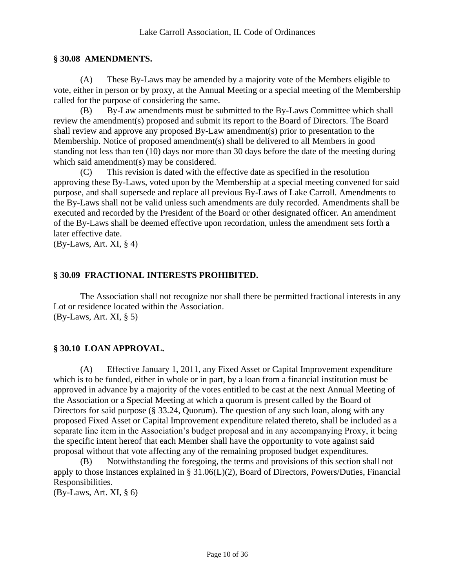## <span id="page-9-0"></span>**§ 30.08 AMENDMENTS.**

(A) These By-Laws may be amended by a majority vote of the Members eligible to vote, either in person or by proxy, at the Annual Meeting or a special meeting of the Membership called for the purpose of considering the same.

(B) By-Law amendments must be submitted to the By-Laws Committee which shall review the amendment(s) proposed and submit its report to the Board of Directors. The Board shall review and approve any proposed By-Law amendment(s) prior to presentation to the Membership. Notice of proposed amendment(s) shall be delivered to all Members in good standing not less than ten (10) days nor more than 30 days before the date of the meeting during which said amendment(s) may be considered.

(C) This revision is dated with the effective date as specified in the resolution approving these By-Laws, voted upon by the Membership at a special meeting convened for said purpose, and shall supersede and replace all previous By-Laws of Lake Carroll. Amendments to the By-Laws shall not be valid unless such amendments are duly recorded. Amendments shall be executed and recorded by the President of the Board or other designated officer. An amendment of the By-Laws shall be deemed effective upon recordation, unless the amendment sets forth a later effective date.

<span id="page-9-1"></span>(By-Laws, Art. XI, § 4)

## **§ 30.09 FRACTIONAL INTERESTS PROHIBITED.**

The Association shall not recognize nor shall there be permitted fractional interests in any Lot or residence located within the Association. (By-Laws, Art. XI, § 5)

## <span id="page-9-2"></span>**§ 30.10 LOAN APPROVAL.**

(A) Effective January 1, 2011, any Fixed Asset or Capital Improvement expenditure which is to be funded, either in whole or in part, by a loan from a financial institution must be approved in advance by a majority of the votes entitled to be cast at the next Annual Meeting of the Association or a Special Meeting at which a quorum is present called by the Board of Directors for said purpose (§ 33.24, Quorum). The question of any such loan, along with any proposed Fixed Asset or Capital Improvement expenditure related thereto, shall be included as a separate line item in the Association's budget proposal and in any accompanying Proxy, it being the specific intent hereof that each Member shall have the opportunity to vote against said proposal without that vote affecting any of the remaining proposed budget expenditures.

(B) Notwithstanding the foregoing, the terms and provisions of this section shall not apply to those instances explained in § 31.06(L)(2), Board of Directors, Powers/Duties, Financial Responsibilities.

(By-Laws, Art. XI, § 6)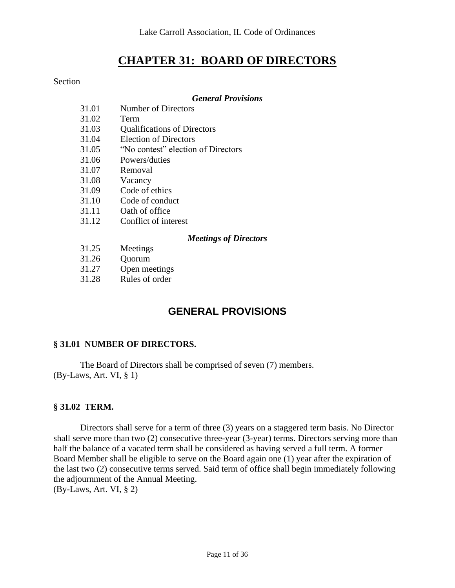## **CHAPTER 31: BOARD OF DIRECTORS**

#### <span id="page-10-0"></span>Section

## *General Provisions*

| 31.01 | <b>Number of Directors</b>         |
|-------|------------------------------------|
| 31.02 | Term                               |
| 31.03 | <b>Qualifications of Directors</b> |
| 31.04 | Election of Directors              |
| 31.05 | "No contest" election of Directors |
| 31.06 | Powers/duties                      |
| 31.07 | Removal                            |
| 31.08 | Vacancy                            |
| 31.09 | Code of ethics                     |
| 31.10 | Code of conduct                    |
| 31.11 | Oath of office                     |
| 31.12 | Conflict of interest               |
|       | <b>Meetings of Directors</b>       |
| 31.25 | Meetings                           |
| 31.26 | Quorum                             |
| 31.27 | Open meetings                      |
|       |                                    |

<span id="page-10-1"></span>31.28 Rules of order

## **GENERAL PROVISIONS**

## <span id="page-10-2"></span>**§ 31.01 NUMBER OF DIRECTORS.**

The Board of Directors shall be comprised of seven (7) members. (By-Laws, Art. VI, § 1)

## **§ 31.02 TERM.**

Directors shall serve for a term of three (3) years on a staggered term basis. No Director shall serve more than two (2) consecutive three-year (3-year) terms. Directors serving more than half the balance of a vacated term shall be considered as having served a full term. A former Board Member shall be eligible to serve on the Board again one (1) year after the expiration of the last two (2) consecutive terms served. Said term of office shall begin immediately following the adjournment of the Annual Meeting. (By-Laws, Art. VI, § 2)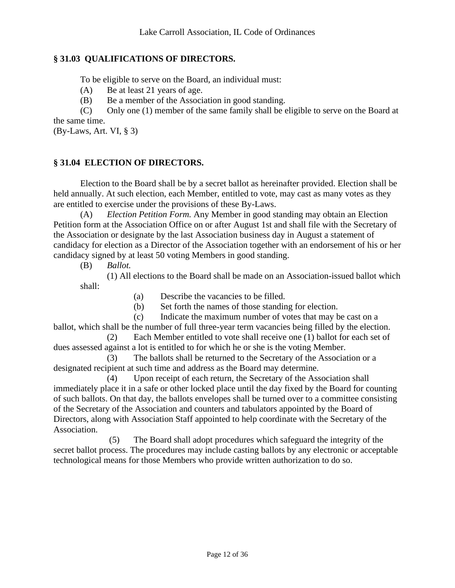## <span id="page-11-0"></span>**§ 31.03 QUALIFICATIONS OF DIRECTORS.**

To be eligible to serve on the Board, an individual must:

(A) Be at least 21 years of age.

(B) Be a member of the Association in good standing.

(C) Only one (1) member of the same family shall be eligible to serve on the Board at the same time.

<span id="page-11-1"></span>(By-Laws, Art. VI, § 3)

## **§ 31.04 ELECTION OF DIRECTORS.**

Election to the Board shall be by a secret ballot as hereinafter provided. Election shall be held annually. At such election, each Member, entitled to vote, may cast as many votes as they are entitled to exercise under the provisions of these By-Laws.

(A) *Election Petition Form.* Any Member in good standing may obtain an Election Petition form at the Association Office on or after August 1st and shall file with the Secretary of the Association or designate by the last Association business day in August a statement of candidacy for election as a Director of the Association together with an endorsement of his or her candidacy signed by at least 50 voting Members in good standing.

(B) *Ballot.*

(1) All elections to the Board shall be made on an Association-issued ballot which shall:

(a) Describe the vacancies to be filled.

(b) Set forth the names of those standing for election.

(c) Indicate the maximum number of votes that may be cast on a

ballot, which shall be the number of full three-year term vacancies being filled by the election. (2) Each Member entitled to vote shall receive one (1) ballot for each set of

dues assessed against a lot is entitled to for which he or she is the voting Member.

(3) The ballots shall be returned to the Secretary of the Association or a designated recipient at such time and address as the Board may determine.

(4) Upon receipt of each return, the Secretary of the Association shall immediately place it in a safe or other locked place until the day fixed by the Board for counting of such ballots. On that day, the ballots envelopes shall be turned over to a committee consisting of the Secretary of the Association and counters and tabulators appointed by the Board of Directors, along with Association Staff appointed to help coordinate with the Secretary of the Association.

(5) The Board shall adopt procedures which safeguard the integrity of the secret ballot process. The procedures may include casting ballots by any electronic or acceptable technological means for those Members who provide written authorization to do so.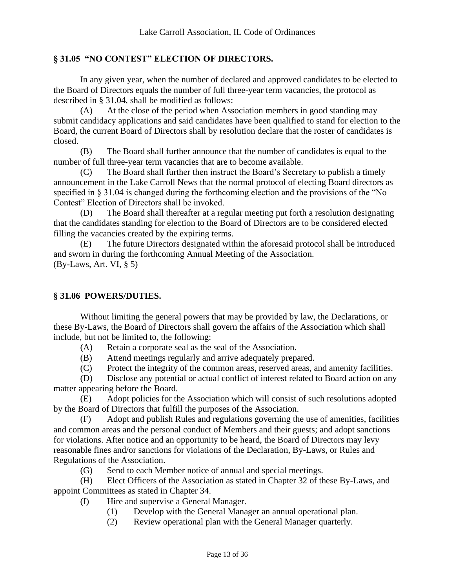## <span id="page-12-0"></span>**§ 31.05 "NO CONTEST" ELECTION OF DIRECTORS.**

In any given year, when the number of declared and approved candidates to be elected to the Board of Directors equals the number of full three-year term vacancies, the protocol as described in § 31.04, shall be modified as follows:

(A) At the close of the period when Association members in good standing may submit candidacy applications and said candidates have been qualified to stand for election to the Board, the current Board of Directors shall by resolution declare that the roster of candidates is closed.

(B) The Board shall further announce that the number of candidates is equal to the number of full three-year term vacancies that are to become available.

(C) The Board shall further then instruct the Board's Secretary to publish a timely announcement in the Lake Carroll News that the normal protocol of electing Board directors as specified in § 31.04 is changed during the forthcoming election and the provisions of the "No Contest" Election of Directors shall be invoked.

(D) The Board shall thereafter at a regular meeting put forth a resolution designating that the candidates standing for election to the Board of Directors are to be considered elected filling the vacancies created by the expiring terms.

(E) The future Directors designated within the aforesaid protocol shall be introduced and sworn in during the forthcoming Annual Meeting of the Association. (By-Laws, Art. VI, § 5)

## <span id="page-12-1"></span>**§ 31.06 POWERS/DUTIES.**

Without limiting the general powers that may be provided by law, the Declarations, or these By-Laws, the Board of Directors shall govern the affairs of the Association which shall include, but not be limited to, the following:

(A) Retain a corporate seal as the seal of the Association.

(B) Attend meetings regularly and arrive adequately prepared.

(C) Protect the integrity of the common areas, reserved areas, and amenity facilities.

(D) Disclose any potential or actual conflict of interest related to Board action on any matter appearing before the Board.

(E) Adopt policies for the Association which will consist of such resolutions adopted by the Board of Directors that fulfill the purposes of the Association.

(F) Adopt and publish Rules and regulations governing the use of amenities, facilities and common areas and the personal conduct of Members and their guests; and adopt sanctions for violations. After notice and an opportunity to be heard, the Board of Directors may levy reasonable fines and/or sanctions for violations of the Declaration, By-Laws, or Rules and Regulations of the Association.

(G) Send to each Member notice of annual and special meetings.

(H) Elect Officers of the Association as stated in Chapter 32 of these By-Laws, and appoint Committees as stated in Chapter 34.

- (I) Hire and supervise a General Manager.
	- (1) Develop with the General Manager an annual operational plan.
	- (2) Review operational plan with the General Manager quarterly.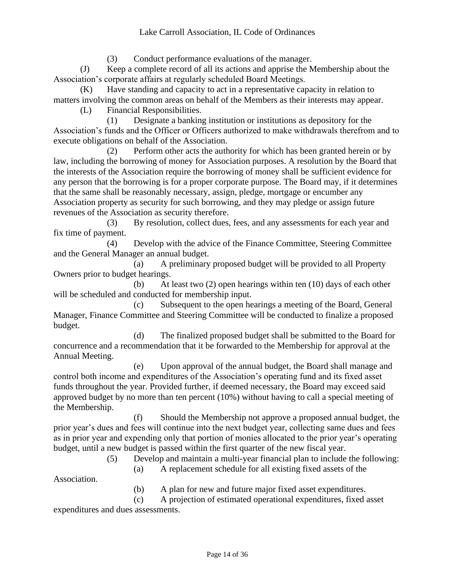(3) Conduct performance evaluations of the manager.

(J) Keep a complete record of all its actions and apprise the Membership about the Association's corporate affairs at regularly scheduled Board Meetings.

(K) Have standing and capacity to act in a representative capacity in relation to matters involving the common areas on behalf of the Members as their interests may appear.

(L) Financial Responsibilities.

(1) Designate a banking institution or institutions as depository for the Association's funds and the Officer or Officers authorized to make withdrawals therefrom and to execute obligations on behalf of the Association.

(2) Perform other acts the authority for which has been granted herein or by law, including the borrowing of money for Association purposes. A resolution by the Board that the interests of the Association require the borrowing of money shall be sufficient evidence for any person that the borrowing is for a proper corporate purpose. The Board may, if it determines that the same shall be reasonably necessary, assign, pledge, mortgage or encumber any Association property as security for such borrowing, and they may pledge or assign future revenues of the Association as security therefore.

(3) By resolution, collect dues, fees, and any assessments for each year and fix time of payment.

(4) Develop with the advice of the Finance Committee, Steering Committee and the General Manager an annual budget.

(a) A preliminary proposed budget will be provided to all Property Owners prior to budget hearings.

(b) At least two (2) open hearings within ten (10) days of each other will be scheduled and conducted for membership input.

(c) Subsequent to the open hearings a meeting of the Board, General Manager, Finance Committee and Steering Committee will be conducted to finalize a proposed budget.

(d) The finalized proposed budget shall be submitted to the Board for concurrence and a recommendation that it be forwarded to the Membership for approval at the Annual Meeting.

(e) Upon approval of the annual budget, the Board shall manage and control both income and expenditures of the Association's operating fund and its fixed asset funds throughout the year. Provided further, if deemed necessary, the Board may exceed said approved budget by no more than ten percent (10%) without having to call a special meeting of the Membership.

(f) Should the Membership not approve a proposed annual budget, the prior year's dues and fees will continue into the next budget year, collecting same dues and fees as in prior year and expending only that portion of monies allocated to the prior year's operating budget, until a new budget is passed within the first quarter of the new fiscal year.

(5) Develop and maintain a multi-year financial plan to include the following:

(a) A replacement schedule for all existing fixed assets of the

Association.

(b) A plan for new and future major fixed asset expenditures.

(c) A projection of estimated operational expenditures, fixed asset

expenditures and dues assessments.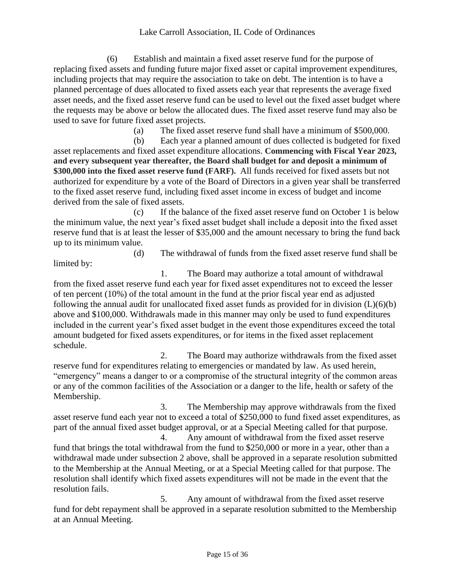(6) Establish and maintain a fixed asset reserve fund for the purpose of replacing fixed assets and funding future major fixed asset or capital improvement expenditures, including projects that may require the association to take on debt. The intention is to have a planned percentage of dues allocated to fixed assets each year that represents the average fixed asset needs, and the fixed asset reserve fund can be used to level out the fixed asset budget where the requests may be above or below the allocated dues. The fixed asset reserve fund may also be used to save for future fixed asset projects.

(a) The fixed asset reserve fund shall have a minimum of \$500,000.

(b) Each year a planned amount of dues collected is budgeted for fixed asset replacements and fixed asset expenditure allocations. **Commencing with Fiscal Year 2023, and every subsequent year thereafter, the Board shall budget for and deposit a minimum of \$300,000 into the fixed asset reserve fund (FARF).**All funds received for fixed assets but not authorized for expenditure by a vote of the Board of Directors in a given year shall be transferred to the fixed asset reserve fund, including fixed asset income in excess of budget and income derived from the sale of fixed assets.

(c) If the balance of the fixed asset reserve fund on October 1 is below the minimum value, the next year's fixed asset budget shall include a deposit into the fixed asset reserve fund that is at least the lesser of \$35,000 and the amount necessary to bring the fund back up to its minimum value.

(d) The withdrawal of funds from the fixed asset reserve fund shall be limited by:

1. The Board may authorize a total amount of withdrawal from the fixed asset reserve fund each year for fixed asset expenditures not to exceed the lesser of ten percent (10%) of the total amount in the fund at the prior fiscal year end as adjusted following the annual audit for unallocated fixed asset funds as provided for in division  $(L)(6)(b)$ above and \$100,000. Withdrawals made in this manner may only be used to fund expenditures included in the current year's fixed asset budget in the event those expenditures exceed the total amount budgeted for fixed assets expenditures, or for items in the fixed asset replacement schedule.

2. The Board may authorize withdrawals from the fixed asset reserve fund for expenditures relating to emergencies or mandated by law. As used herein, "emergency" means a danger to or a compromise of the structural integrity of the common areas or any of the common facilities of the Association or a danger to the life, health or safety of the Membership.

3. The Membership may approve withdrawals from the fixed asset reserve fund each year not to exceed a total of \$250,000 to fund fixed asset expenditures, as part of the annual fixed asset budget approval, or at a Special Meeting called for that purpose.

4. Any amount of withdrawal from the fixed asset reserve fund that brings the total withdrawal from the fund to \$250,000 or more in a year, other than a withdrawal made under subsection 2 above, shall be approved in a separate resolution submitted to the Membership at the Annual Meeting, or at a Special Meeting called for that purpose. The resolution shall identify which fixed assets expenditures will not be made in the event that the resolution fails.

5. Any amount of withdrawal from the fixed asset reserve fund for debt repayment shall be approved in a separate resolution submitted to the Membership at an Annual Meeting.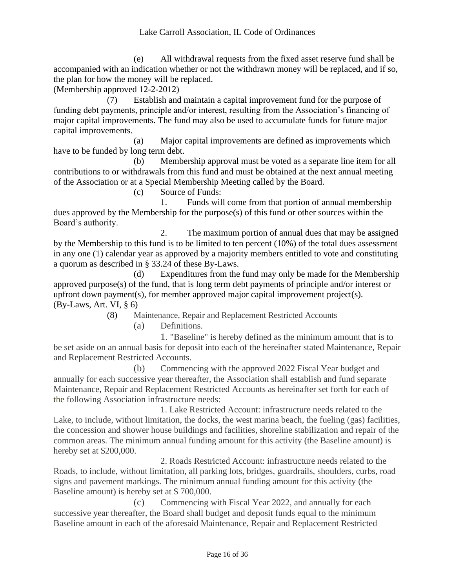## Lake Carroll Association, IL Code of Ordinances

(e) All withdrawal requests from the fixed asset reserve fund shall be accompanied with an indication whether or not the withdrawn money will be replaced, and if so, the plan for how the money will be replaced.

(Membership approved 12-2-2012)

(7) Establish and maintain a capital improvement fund for the purpose of funding debt payments, principle and/or interest, resulting from the Association's financing of major capital improvements. The fund may also be used to accumulate funds for future major capital improvements.

(a) Major capital improvements are defined as improvements which have to be funded by long term debt.

(b) Membership approval must be voted as a separate line item for all contributions to or withdrawals from this fund and must be obtained at the next annual meeting of the Association or at a Special Membership Meeting called by the Board.

(c) Source of Funds:

1. Funds will come from that portion of annual membership dues approved by the Membership for the purpose(s) of this fund or other sources within the Board's authority.

2. The maximum portion of annual dues that may be assigned by the Membership to this fund is to be limited to ten percent (10%) of the total dues assessment in any one (1) calendar year as approved by a majority members entitled to vote and constituting a quorum as described in § 33.24 of these By-Laws.

(d) Expenditures from the fund may only be made for the Membership approved purpose(s) of the fund, that is long term debt payments of principle and/or interest or upfront down payment(s), for member approved major capital improvement project(s). (By-Laws, Art. VI, § 6)

(8) Maintenance, Repair and Replacement Restricted Accounts

(a) Definitions.

1. "Baseline" is hereby defined as the minimum amount that is to be set aside on an annual basis for deposit into each of the hereinafter stated Maintenance, Repair and Replacement Restricted Accounts.

(b) Commencing with the approved 2022 Fiscal Year budget and annually for each successive year thereafter, the Association shall establish and fund separate Maintenance, Repair and Replacement Restricted Accounts as hereinafter set forth for each of the following Association infrastructure needs:

1. Lake Restricted Account: infrastructure needs related to the Lake, to include, without limitation, the docks, the west marina beach, the fueling (gas) facilities, the concession and shower house buildings and facilities, shoreline stabilization and repair of the common areas. The minimum annual funding amount for this activity (the Baseline amount) is hereby set at \$200,000.

2. Roads Restricted Account: infrastructure needs related to the Roads, to include, without limitation, all parking lots, bridges, guardrails, shoulders, curbs, road signs and pavement markings. The minimum annual funding amount for this activity (the Baseline amount) is hereby set at \$ 700,000.

(c) Commencing with Fiscal Year 2022, and annually for each successive year thereafter, the Board shall budget and deposit funds equal to the minimum Baseline amount in each of the aforesaid Maintenance, Repair and Replacement Restricted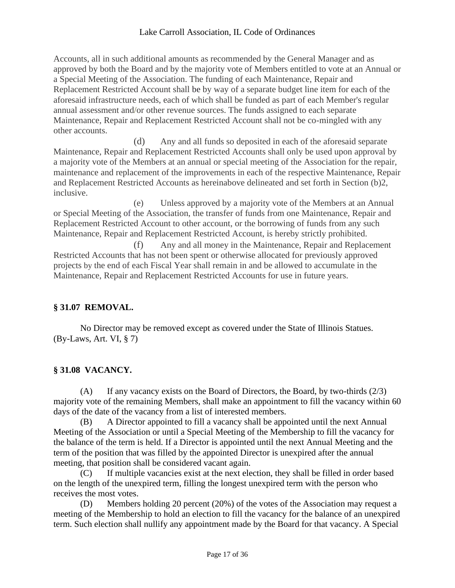## Lake Carroll Association, IL Code of Ordinances

Accounts, all in such additional amounts as recommended by the General Manager and as approved by both the Board and by the majority vote of Members entitled to vote at an Annual or a Special Meeting of the Association. The funding of each Maintenance, Repair and Replacement Restricted Account shall be by way of a separate budget line item for each of the aforesaid infrastructure needs, each of which shall be funded as part of each Member's regular annual assessment and/or other revenue sources. The funds assigned to each separate Maintenance, Repair and Replacement Restricted Account shall not be co-mingled with any other accounts.

(d) Any and all funds so deposited in each of the aforesaid separate Maintenance, Repair and Replacement Restricted Accounts shall only be used upon approval by a majority vote of the Members at an annual or special meeting of the Association for the repair, maintenance and replacement of the improvements in each of the respective Maintenance, Repair and Replacement Restricted Accounts as hereinabove delineated and set forth in Section (b)2, inclusive.

(e) Unless approved by a majority vote of the Members at an Annual or Special Meeting of the Association, the transfer of funds from one Maintenance, Repair and Replacement Restricted Account to other account, or the borrowing of funds from any such Maintenance, Repair and Replacement Restricted Account, is hereby strictly prohibited.

(f) Any and all money in the Maintenance, Repair and Replacement Restricted Accounts that has not been spent or otherwise allocated for previously approved projects by the end of each Fiscal Year shall remain in and be allowed to accumulate in the Maintenance, Repair and Replacement Restricted Accounts for use in future years.

## <span id="page-16-0"></span>**§ 31.07 REMOVAL.**

<span id="page-16-1"></span>No Director may be removed except as covered under the State of Illinois Statues. (By-Laws, Art. VI, § 7)

## **§ 31.08 VACANCY.**

(A) If any vacancy exists on the Board of Directors, the Board, by two-thirds (2/3) majority vote of the remaining Members, shall make an appointment to fill the vacancy within 60 days of the date of the vacancy from a list of interested members.

(B) A Director appointed to fill a vacancy shall be appointed until the next Annual Meeting of the Association or until a Special Meeting of the Membership to fill the vacancy for the balance of the term is held. If a Director is appointed until the next Annual Meeting and the term of the position that was filled by the appointed Director is unexpired after the annual meeting, that position shall be considered vacant again.

(C) If multiple vacancies exist at the next election, they shall be filled in order based on the length of the unexpired term, filling the longest unexpired term with the person who receives the most votes.

(D) Members holding 20 percent (20%) of the votes of the Association may request a meeting of the Membership to hold an election to fill the vacancy for the balance of an unexpired term. Such election shall nullify any appointment made by the Board for that vacancy. A Special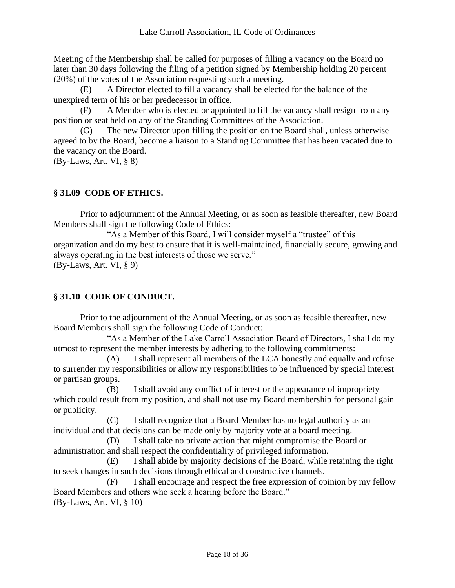Meeting of the Membership shall be called for purposes of filling a vacancy on the Board no later than 30 days following the filing of a petition signed by Membership holding 20 percent (20%) of the votes of the Association requesting such a meeting.

(E) A Director elected to fill a vacancy shall be elected for the balance of the unexpired term of his or her predecessor in office.

(F) A Member who is elected or appointed to fill the vacancy shall resign from any position or seat held on any of the Standing Committees of the Association.

(G) The new Director upon filling the position on the Board shall, unless otherwise agreed to by the Board, become a liaison to a Standing Committee that has been vacated due to the vacancy on the Board.

<span id="page-17-0"></span>(By-Laws, Art. VI, § 8)

## **§ 31.09 CODE OF ETHICS.**

Prior to adjournment of the Annual Meeting, or as soon as feasible thereafter, new Board Members shall sign the following Code of Ethics:

"As a Member of this Board, I will consider myself a "trustee" of this organization and do my best to ensure that it is well-maintained, financially secure, growing and always operating in the best interests of those we serve." (By-Laws, Art. VI, § 9)

## <span id="page-17-1"></span>**§ 31.10 CODE OF CONDUCT.**

Prior to the adjournment of the Annual Meeting, or as soon as feasible thereafter, new Board Members shall sign the following Code of Conduct:

"As a Member of the Lake Carroll Association Board of Directors, I shall do my utmost to represent the member interests by adhering to the following commitments:

(A) I shall represent all members of the LCA honestly and equally and refuse to surrender my responsibilities or allow my responsibilities to be influenced by special interest or partisan groups.

(B) I shall avoid any conflict of interest or the appearance of impropriety which could result from my position, and shall not use my Board membership for personal gain or publicity.

(C) I shall recognize that a Board Member has no legal authority as an individual and that decisions can be made only by majority vote at a board meeting.

(D) I shall take no private action that might compromise the Board or administration and shall respect the confidentiality of privileged information.

(E) I shall abide by majority decisions of the Board, while retaining the right to seek changes in such decisions through ethical and constructive channels.

(F) I shall encourage and respect the free expression of opinion by my fellow Board Members and others who seek a hearing before the Board." (By-Laws, Art. VI, § 10)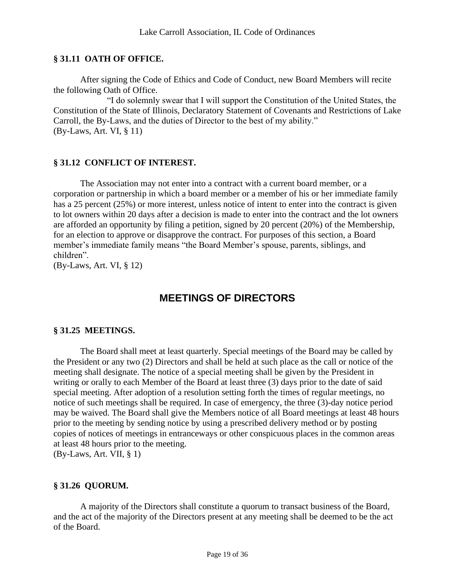## <span id="page-18-0"></span>**§ 31.11 OATH OF OFFICE.**

After signing the Code of Ethics and Code of Conduct, new Board Members will recite the following Oath of Office.

"I do solemnly swear that I will support the Constitution of the United States, the Constitution of the State of Illinois, Declaratory Statement of Covenants and Restrictions of Lake Carroll, the By-Laws, and the duties of Director to the best of my ability." (By-Laws, Art. VI, § 11)

#### <span id="page-18-1"></span>**§ 31.12 CONFLICT OF INTEREST.**

The Association may not enter into a contract with a current board member, or a corporation or partnership in which a board member or a member of his or her immediate family has a 25 percent (25%) or more interest, unless notice of intent to enter into the contract is given to lot owners within 20 days after a decision is made to enter into the contract and the lot owners are afforded an opportunity by filing a petition, signed by 20 percent (20%) of the Membership, for an election to approve or disapprove the contract. For purposes of this section, a Board member's immediate family means "the Board Member's spouse, parents, siblings, and children".

<span id="page-18-2"></span>(By-Laws, Art. VI, § 12)

## **MEETINGS OF DIRECTORS**

## <span id="page-18-3"></span>**§ 31.25 MEETINGS.**

The Board shall meet at least quarterly. Special meetings of the Board may be called by the President or any two (2) Directors and shall be held at such place as the call or notice of the meeting shall designate. The notice of a special meeting shall be given by the President in writing or orally to each Member of the Board at least three (3) days prior to the date of said special meeting. After adoption of a resolution setting forth the times of regular meetings, no notice of such meetings shall be required. In case of emergency, the three (3)-day notice period may be waived. The Board shall give the Members notice of all Board meetings at least 48 hours prior to the meeting by sending notice by using a prescribed delivery method or by posting copies of notices of meetings in entranceways or other conspicuous places in the common areas at least 48 hours prior to the meeting. (By-Laws, Art. VII, § 1)

#### <span id="page-18-4"></span>**§ 31.26 QUORUM.**

A majority of the Directors shall constitute a quorum to transact business of the Board, and the act of the majority of the Directors present at any meeting shall be deemed to be the act of the Board.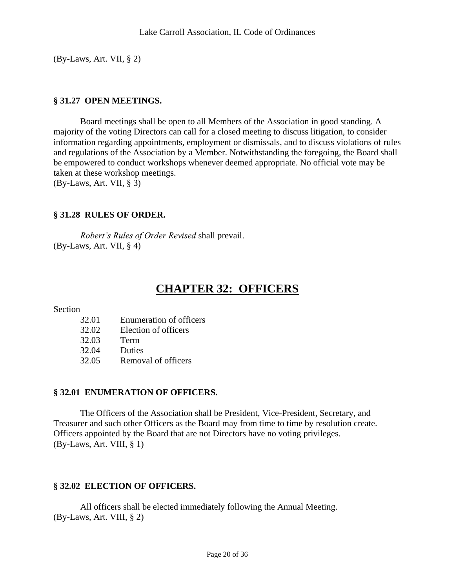<span id="page-19-0"></span>(By-Laws, Art. VII, § 2)

## **§ 31.27 OPEN MEETINGS.**

Board meetings shall be open to all Members of the Association in good standing. A majority of the voting Directors can call for a closed meeting to discuss litigation, to consider information regarding appointments, employment or dismissals, and to discuss violations of rules and regulations of the Association by a Member. Notwithstanding the foregoing, the Board shall be empowered to conduct workshops whenever deemed appropriate. No official vote may be taken at these workshop meetings. (By-Laws, Art. VII, § 3)

<span id="page-19-1"></span>

## **§ 31.28 RULES OF ORDER.**

*Robert's Rules of Order Revised* shall prevail. (By-Laws, Art. VII, § 4)

## **CHAPTER 32: OFFICERS**

<span id="page-19-2"></span>Section

- 32.01 Enumeration of officers
- 32.02 Election of officers
- 32.03 Term
- 32.04 Duties
- 32.05 Removal of officers

## <span id="page-19-3"></span>**§ 32.01 ENUMERATION OF OFFICERS.**

The Officers of the Association shall be President, Vice-President, Secretary, and Treasurer and such other Officers as the Board may from time to time by resolution create. Officers appointed by the Board that are not Directors have no voting privileges. (By-Laws, Art. VIII, § 1)

## <span id="page-19-4"></span>**§ 32.02 ELECTION OF OFFICERS.**

All officers shall be elected immediately following the Annual Meeting. (By-Laws, Art. VIII, § 2)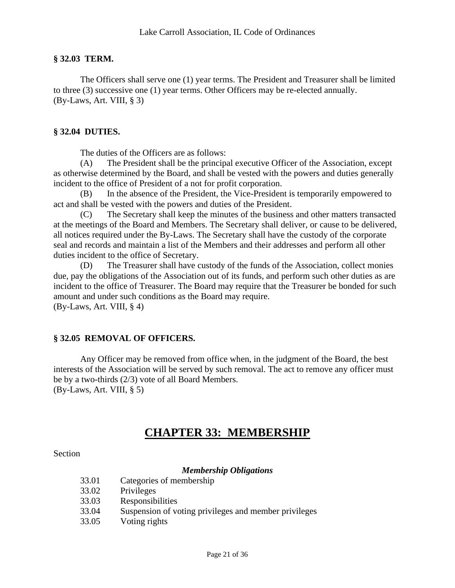#### <span id="page-20-0"></span>**§ 32.03 TERM.**

The Officers shall serve one (1) year terms. The President and Treasurer shall be limited to three (3) successive one (1) year terms. Other Officers may be re-elected annually. (By-Laws, Art. VIII, § 3)

#### <span id="page-20-1"></span>**§ 32.04 DUTIES.**

The duties of the Officers are as follows:

(A) The President shall be the principal executive Officer of the Association, except as otherwise determined by the Board, and shall be vested with the powers and duties generally incident to the office of President of a not for profit corporation.

(B) In the absence of the President, the Vice-President is temporarily empowered to act and shall be vested with the powers and duties of the President.

(C) The Secretary shall keep the minutes of the business and other matters transacted at the meetings of the Board and Members. The Secretary shall deliver, or cause to be delivered, all notices required under the By-Laws. The Secretary shall have the custody of the corporate seal and records and maintain a list of the Members and their addresses and perform all other duties incident to the office of Secretary.

(D) The Treasurer shall have custody of the funds of the Association, collect monies due, pay the obligations of the Association out of its funds, and perform such other duties as are incident to the office of Treasurer. The Board may require that the Treasurer be bonded for such amount and under such conditions as the Board may require. (By-Laws, Art. VIII, § 4)

## <span id="page-20-2"></span>**§ 32.05 REMOVAL OF OFFICERS.**

Any Officer may be removed from office when, in the judgment of the Board, the best interests of the Association will be served by such removal. The act to remove any officer must be by a two-thirds (2/3) vote of all Board Members. (By-Laws, Art. VIII, § 5)

## **CHAPTER 33: MEMBERSHIP**

<span id="page-20-3"></span>**Section** 

#### *Membership Obligations*

| 33.01 | Categories of membership                              |
|-------|-------------------------------------------------------|
| 33.02 | Privileges                                            |
| 33.03 | Responsibilities                                      |
| 33.04 | Suspension of voting privileges and member privileges |
|       |                                                       |

33.05 Voting rights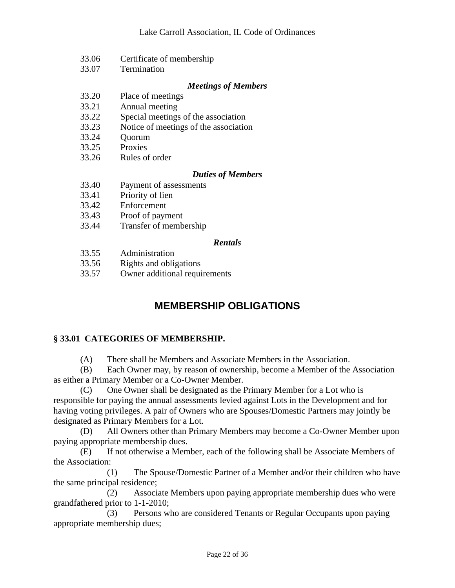- 33.06 Certificate of membership
- 33.07 Termination

## *Meetings of Members*

- 33.20 Place of meetings
- 33.21 Annual meeting
- 33.22 Special meetings of the association
- 33.23 Notice of meetings of the association
- 33.24 Quorum
- 33.25 Proxies
- 33.26 Rules of order

## *Duties of Members*

- 33.40 Payment of assessments
- 33.41 Priority of lien
- 33.42 Enforcement
- 33.43 Proof of payment
- 33.44 Transfer of membership

## *Rentals*

- 33.55 Administration
- 33.56 Rights and obligations
- <span id="page-21-0"></span>33.57 Owner additional requirements

## **MEMBERSHIP OBLIGATIONS**

## <span id="page-21-1"></span>**§ 33.01 CATEGORIES OF MEMBERSHIP.**

(A) There shall be Members and Associate Members in the Association.

(B) Each Owner may, by reason of ownership, become a Member of the Association as either a Primary Member or a Co-Owner Member.

(C) One Owner shall be designated as the Primary Member for a Lot who is responsible for paying the annual assessments levied against Lots in the Development and for having voting privileges. A pair of Owners who are Spouses/Domestic Partners may jointly be designated as Primary Members for a Lot.

(D) All Owners other than Primary Members may become a Co-Owner Member upon paying appropriate membership dues.

(E) If not otherwise a Member, each of the following shall be Associate Members of the Association:

(1) The Spouse/Domestic Partner of a Member and/or their children who have the same principal residence;

(2) Associate Members upon paying appropriate membership dues who were grandfathered prior to 1-1-2010;

(3) Persons who are considered Tenants or Regular Occupants upon paying appropriate membership dues;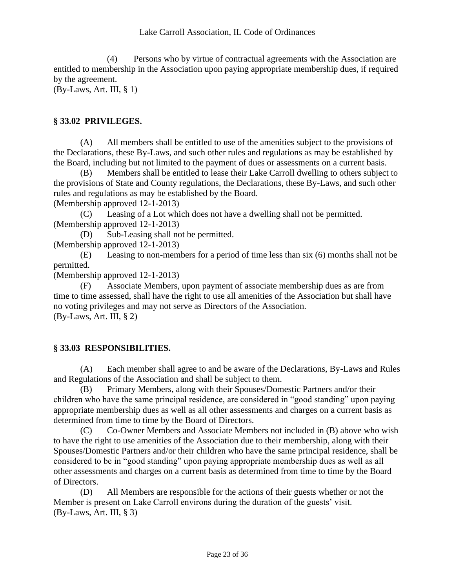(4) Persons who by virtue of contractual agreements with the Association are entitled to membership in the Association upon paying appropriate membership dues, if required by the agreement.

<span id="page-22-0"></span>(By-Laws, Art. III, § 1)

## **§ 33.02 PRIVILEGES.**

(A) All members shall be entitled to use of the amenities subject to the provisions of the Declarations, these By-Laws, and such other rules and regulations as may be established by the Board, including but not limited to the payment of dues or assessments on a current basis.

(B) Members shall be entitled to lease their Lake Carroll dwelling to others subject to the provisions of State and County regulations, the Declarations, these By-Laws, and such other rules and regulations as may be established by the Board.

(Membership approved 12-1-2013)

(C) Leasing of a Lot which does not have a dwelling shall not be permitted. (Membership approved 12-1-2013)

(D) Sub-Leasing shall not be permitted.

(Membership approved 12-1-2013)

(E) Leasing to non-members for a period of time less than six (6) months shall not be permitted.

(Membership approved 12-1-2013)

(F) Associate Members, upon payment of associate membership dues as are from time to time assessed, shall have the right to use all amenities of the Association but shall have no voting privileges and may not serve as Directors of the Association. (By-Laws, Art. III, § 2)

## <span id="page-22-1"></span>**§ 33.03 RESPONSIBILITIES.**

(A) Each member shall agree to and be aware of the Declarations, By-Laws and Rules and Regulations of the Association and shall be subject to them.

(B) Primary Members, along with their Spouses/Domestic Partners and/or their children who have the same principal residence, are considered in "good standing" upon paying appropriate membership dues as well as all other assessments and charges on a current basis as determined from time to time by the Board of Directors.

(C) Co-Owner Members and Associate Members not included in (B) above who wish to have the right to use amenities of the Association due to their membership, along with their Spouses/Domestic Partners and/or their children who have the same principal residence, shall be considered to be in "good standing" upon paying appropriate membership dues as well as all other assessments and charges on a current basis as determined from time to time by the Board of Directors.

(D) All Members are responsible for the actions of their guests whether or not the Member is present on Lake Carroll environs during the duration of the guests' visit. (By-Laws, Art. III, § 3)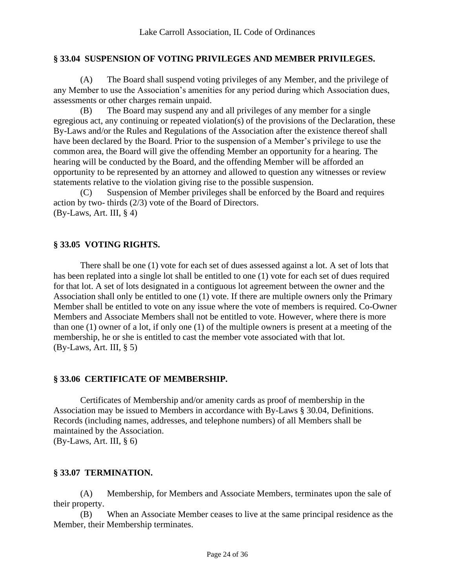## <span id="page-23-0"></span>**§ 33.04 SUSPENSION OF VOTING PRIVILEGES AND MEMBER PRIVILEGES.**

(A) The Board shall suspend voting privileges of any Member, and the privilege of any Member to use the Association's amenities for any period during which Association dues, assessments or other charges remain unpaid.

(B) The Board may suspend any and all privileges of any member for a single egregious act, any continuing or repeated violation(s) of the provisions of the Declaration, these By-Laws and/or the Rules and Regulations of the Association after the existence thereof shall have been declared by the Board. Prior to the suspension of a Member's privilege to use the common area, the Board will give the offending Member an opportunity for a hearing. The hearing will be conducted by the Board, and the offending Member will be afforded an opportunity to be represented by an attorney and allowed to question any witnesses or review statements relative to the violation giving rise to the possible suspension.

(C) Suspension of Member privileges shall be enforced by the Board and requires action by two- thirds (2/3) vote of the Board of Directors.  $(By-Laws, Art, III, § 4)$ 

## <span id="page-23-1"></span>**§ 33.05 VOTING RIGHTS.**

There shall be one (1) vote for each set of dues assessed against a lot. A set of lots that has been replated into a single lot shall be entitled to one (1) vote for each set of dues required for that lot. A set of lots designated in a contiguous lot agreement between the owner and the Association shall only be entitled to one (1) vote. If there are multiple owners only the Primary Member shall be entitled to vote on any issue where the vote of members is required. Co-Owner Members and Associate Members shall not be entitled to vote. However, where there is more than one (1) owner of a lot, if only one (1) of the multiple owners is present at a meeting of the membership, he or she is entitled to cast the member vote associated with that lot.  $(By-Laws, Art. III, § 5)$ 

## <span id="page-23-2"></span>**§ 33.06 CERTIFICATE OF MEMBERSHIP.**

Certificates of Membership and/or amenity cards as proof of membership in the Association may be issued to Members in accordance with By-Laws § 30.04, Definitions. Records (including names, addresses, and telephone numbers) of all Members shall be maintained by the Association. (By-Laws, Art. III, § 6)

## <span id="page-23-3"></span>**§ 33.07 TERMINATION.**

(A) Membership, for Members and Associate Members, terminates upon the sale of their property.

(B) When an Associate Member ceases to live at the same principal residence as the Member, their Membership terminates.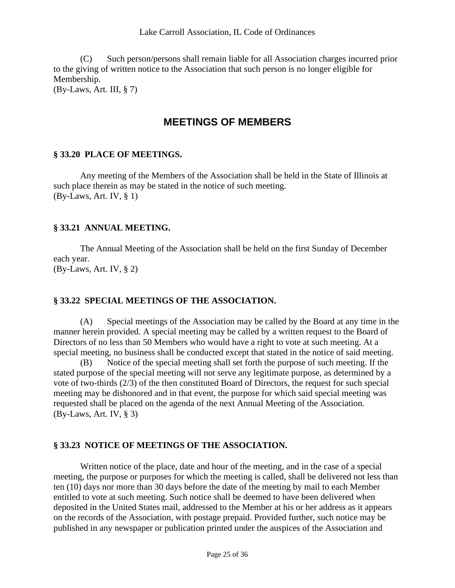(C) Such person/persons shall remain liable for all Association charges incurred prior to the giving of written notice to the Association that such person is no longer eligible for Membership.

<span id="page-24-0"></span>(By-Laws, Art. III, § 7)

## **MEETINGS OF MEMBERS**

## <span id="page-24-1"></span>**§ 33.20 PLACE OF MEETINGS.**

Any meeting of the Members of the Association shall be held in the State of Illinois at such place therein as may be stated in the notice of such meeting. (By-Laws, Art. IV, § 1)

## <span id="page-24-2"></span>**§ 33.21 ANNUAL MEETING.**

The Annual Meeting of the Association shall be held on the first Sunday of December each year. (By-Laws, Art. IV, § 2)

## <span id="page-24-3"></span>**§ 33.22 SPECIAL MEETINGS OF THE ASSOCIATION.**

(A) Special meetings of the Association may be called by the Board at any time in the manner herein provided. A special meeting may be called by a written request to the Board of Directors of no less than 50 Members who would have a right to vote at such meeting. At a special meeting, no business shall be conducted except that stated in the notice of said meeting.

(B) Notice of the special meeting shall set forth the purpose of such meeting. If the stated purpose of the special meeting will not serve any legitimate purpose, as determined by a vote of two-thirds (2/3) of the then constituted Board of Directors, the request for such special meeting may be dishonored and in that event, the purpose for which said special meeting was requested shall be placed on the agenda of the next Annual Meeting of the Association. (By-Laws, Art. IV, § 3)

## <span id="page-24-4"></span>**§ 33.23 NOTICE OF MEETINGS OF THE ASSOCIATION.**

Written notice of the place, date and hour of the meeting, and in the case of a special meeting, the purpose or purposes for which the meeting is called, shall be delivered not less than ten (10) days nor more than 30 days before the date of the meeting by mail to each Member entitled to vote at such meeting. Such notice shall be deemed to have been delivered when deposited in the United States mail, addressed to the Member at his or her address as it appears on the records of the Association, with postage prepaid. Provided further, such notice may be published in any newspaper or publication printed under the auspices of the Association and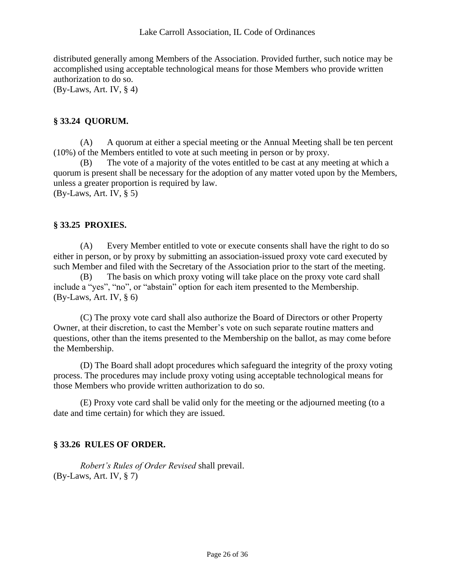distributed generally among Members of the Association. Provided further, such notice may be accomplished using acceptable technological means for those Members who provide written authorization to do so.

<span id="page-25-0"></span> $(By-Laws, Art. IV, § 4)$ 

## **§ 33.24 QUORUM.**

(A) A quorum at either a special meeting or the Annual Meeting shall be ten percent (10%) of the Members entitled to vote at such meeting in person or by proxy.

(B) The vote of a majority of the votes entitled to be cast at any meeting at which a quorum is present shall be necessary for the adoption of any matter voted upon by the Members, unless a greater proportion is required by law. (By-Laws, Art. IV, § 5)

## <span id="page-25-1"></span>**§ 33.25 PROXIES.**

(A) Every Member entitled to vote or execute consents shall have the right to do so either in person, or by proxy by submitting an association-issued proxy vote card executed by such Member and filed with the Secretary of the Association prior to the start of the meeting.

(B) The basis on which proxy voting will take place on the proxy vote card shall include a "yes", "no", or "abstain" option for each item presented to the Membership. (By-Laws, Art. IV, § 6)

(C) The proxy vote card shall also authorize the Board of Directors or other Property Owner, at their discretion, to cast the Member's vote on such separate routine matters and questions, other than the items presented to the Membership on the ballot, as may come before the Membership.

(D) The Board shall adopt procedures which safeguard the integrity of the proxy voting process. The procedures may include proxy voting using acceptable technological means for those Members who provide written authorization to do so.

<span id="page-25-2"></span>(E) Proxy vote card shall be valid only for the meeting or the adjourned meeting (to a date and time certain) for which they are issued.

## **§ 33.26 RULES OF ORDER.**

*Robert's Rules of Order Revised* shall prevail. (By-Laws, Art. IV, § 7)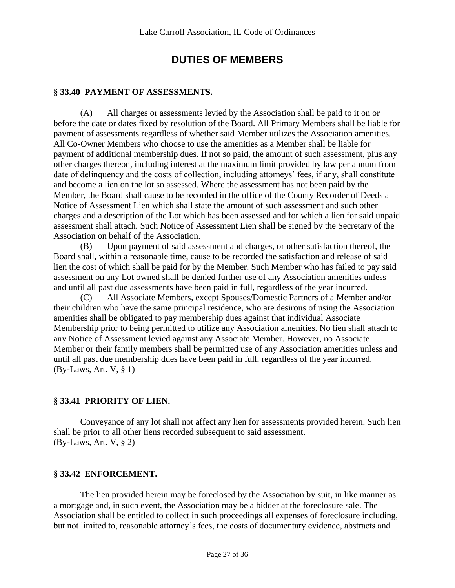## **DUTIES OF MEMBERS**

## <span id="page-26-1"></span><span id="page-26-0"></span>**§ 33.40 PAYMENT OF ASSESSMENTS.**

(A) All charges or assessments levied by the Association shall be paid to it on or before the date or dates fixed by resolution of the Board. All Primary Members shall be liable for payment of assessments regardless of whether said Member utilizes the Association amenities. All Co-Owner Members who choose to use the amenities as a Member shall be liable for payment of additional membership dues. If not so paid, the amount of such assessment, plus any other charges thereon, including interest at the maximum limit provided by law per annum from date of delinquency and the costs of collection, including attorneys' fees, if any, shall constitute and become a lien on the lot so assessed. Where the assessment has not been paid by the Member, the Board shall cause to be recorded in the office of the County Recorder of Deeds a Notice of Assessment Lien which shall state the amount of such assessment and such other charges and a description of the Lot which has been assessed and for which a lien for said unpaid assessment shall attach. Such Notice of Assessment Lien shall be signed by the Secretary of the Association on behalf of the Association.

(B) Upon payment of said assessment and charges, or other satisfaction thereof, the Board shall, within a reasonable time, cause to be recorded the satisfaction and release of said lien the cost of which shall be paid for by the Member. Such Member who has failed to pay said assessment on any Lot owned shall be denied further use of any Association amenities unless and until all past due assessments have been paid in full, regardless of the year incurred.

(C) All Associate Members, except Spouses/Domestic Partners of a Member and/or their children who have the same principal residence, who are desirous of using the Association amenities shall be obligated to pay membership dues against that individual Associate Membership prior to being permitted to utilize any Association amenities. No lien shall attach to any Notice of Assessment levied against any Associate Member. However, no Associate Member or their family members shall be permitted use of any Association amenities unless and until all past due membership dues have been paid in full, regardless of the year incurred. (By-Laws, Art. V, § 1)

## <span id="page-26-2"></span>**§ 33.41 PRIORITY OF LIEN.**

Conveyance of any lot shall not affect any lien for assessments provided herein. Such lien shall be prior to all other liens recorded subsequent to said assessment. (By-Laws, Art. V, § 2)

## <span id="page-26-3"></span>**§ 33.42 ENFORCEMENT.**

The lien provided herein may be foreclosed by the Association by suit, in like manner as a mortgage and, in such event, the Association may be a bidder at the foreclosure sale. The Association shall be entitled to collect in such proceedings all expenses of foreclosure including, but not limited to, reasonable attorney's fees, the costs of documentary evidence, abstracts and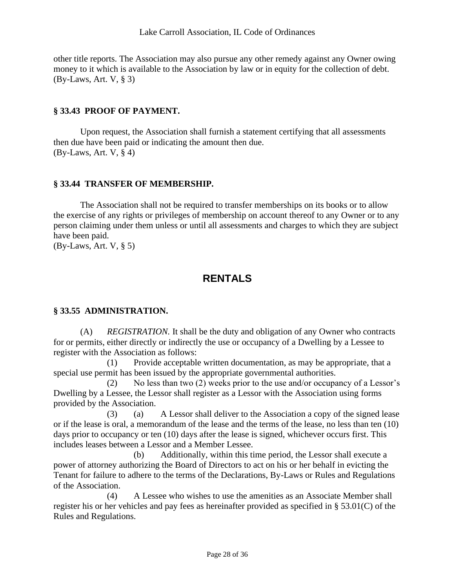other title reports. The Association may also pursue any other remedy against any Owner owing money to it which is available to the Association by law or in equity for the collection of debt. (By-Laws, Art. V, § 3)

## <span id="page-27-0"></span>**§ 33.43 PROOF OF PAYMENT.**

Upon request, the Association shall furnish a statement certifying that all assessments then due have been paid or indicating the amount then due.  $(By-Laws, Art. V, § 4)$ 

## <span id="page-27-1"></span>**§ 33.44 TRANSFER OF MEMBERSHIP.**

The Association shall not be required to transfer memberships on its books or to allow the exercise of any rights or privileges of membership on account thereof to any Owner or to any person claiming under them unless or until all assessments and charges to which they are subject have been paid.

<span id="page-27-2"></span>(By-Laws, Art. V, § 5)

## **RENTALS**

## <span id="page-27-3"></span>**§ 33.55 ADMINISTRATION.**

(A) *REGISTRATION.* It shall be the duty and obligation of any Owner who contracts for or permits, either directly or indirectly the use or occupancy of a Dwelling by a Lessee to register with the Association as follows:

(1) Provide acceptable written documentation, as may be appropriate, that a special use permit has been issued by the appropriate governmental authorities.

(2) No less than two (2) weeks prior to the use and/or occupancy of a Lessor's Dwelling by a Lessee, the Lessor shall register as a Lessor with the Association using forms provided by the Association.

(3) (a) A Lessor shall deliver to the Association a copy of the signed lease or if the lease is oral, a memorandum of the lease and the terms of the lease, no less than ten (10) days prior to occupancy or ten (10) days after the lease is signed, whichever occurs first. This includes leases between a Lessor and a Member Lessee.

(b) Additionally, within this time period, the Lessor shall execute a power of attorney authorizing the Board of Directors to act on his or her behalf in evicting the Tenant for failure to adhere to the terms of the Declarations, By-Laws or Rules and Regulations of the Association.

(4) A Lessee who wishes to use the amenities as an Associate Member shall register his or her vehicles and pay fees as hereinafter provided as specified in § 53.01(C) of the Rules and Regulations.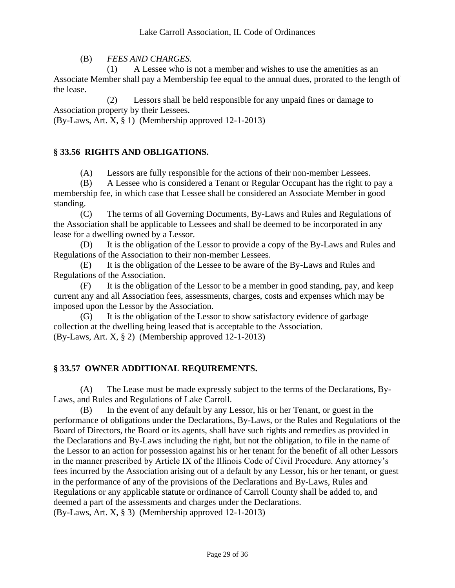(B) *FEES AND CHARGES.*

(1) A Lessee who is not a member and wishes to use the amenities as an Associate Member shall pay a Membership fee equal to the annual dues, prorated to the length of the lease.

(2) Lessors shall be held responsible for any unpaid fines or damage to Association property by their Lessees.

<span id="page-28-0"></span>(By-Laws, Art. X, § 1) (Membership approved 12-1-2013)

## **§ 33.56 RIGHTS AND OBLIGATIONS.**

(A) Lessors are fully responsible for the actions of their non-member Lessees.

(B) A Lessee who is considered a Tenant or Regular Occupant has the right to pay a membership fee, in which case that Lessee shall be considered an Associate Member in good standing.

(C) The terms of all Governing Documents, By-Laws and Rules and Regulations of the Association shall be applicable to Lessees and shall be deemed to be incorporated in any lease for a dwelling owned by a Lessor.

(D) It is the obligation of the Lessor to provide a copy of the By-Laws and Rules and Regulations of the Association to their non-member Lessees.

(E) It is the obligation of the Lessee to be aware of the By-Laws and Rules and Regulations of the Association.

(F) It is the obligation of the Lessor to be a member in good standing, pay, and keep current any and all Association fees, assessments, charges, costs and expenses which may be imposed upon the Lessor by the Association.

(G) It is the obligation of the Lessor to show satisfactory evidence of garbage collection at the dwelling being leased that is acceptable to the Association. (By-Laws, Art. X, § 2) (Membership approved 12-1-2013)

## <span id="page-28-1"></span>**§ 33.57 OWNER ADDITIONAL REQUIREMENTS.**

(A) The Lease must be made expressly subject to the terms of the Declarations, By-Laws, and Rules and Regulations of Lake Carroll.

(B) In the event of any default by any Lessor, his or her Tenant, or guest in the performance of obligations under the Declarations, By-Laws, or the Rules and Regulations of the Board of Directors, the Board or its agents, shall have such rights and remedies as provided in the Declarations and By-Laws including the right, but not the obligation, to file in the name of the Lessor to an action for possession against his or her tenant for the benefit of all other Lessors in the manner prescribed by Article IX of the Illinois Code of Civil Procedure. Any attorney's fees incurred by the Association arising out of a default by any Lessor, his or her tenant, or guest in the performance of any of the provisions of the Declarations and By-Laws, Rules and Regulations or any applicable statute or ordinance of Carroll County shall be added to, and deemed a part of the assessments and charges under the Declarations. (By-Laws, Art. X, § 3) (Membership approved 12-1-2013)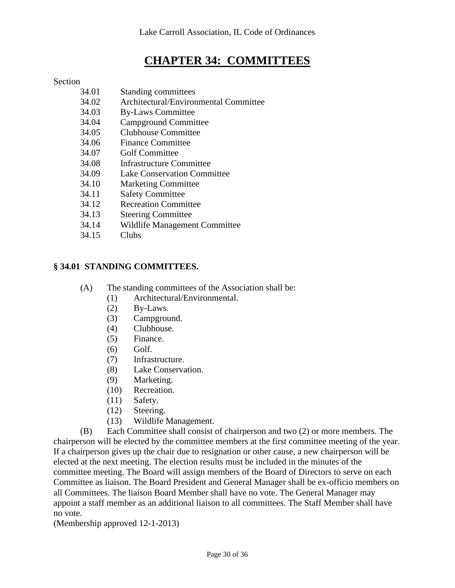## **CHAPTER 34: COMMITTEES**

## <span id="page-29-0"></span>Section

- 34.01 Standing committees
- 34.02 Architectural/Environmental Committee
- 34.03 By-Laws Committee
- 34.04 Campground Committee
- 34.05 Clubhouse Committee
- 34.06 Finance Committee
- 34.07 Golf Committee
- 34.08 Infrastructure Committee
- 34.09 Lake Conservation Committee
- 34.10 Marketing Committee
- 34.11 Safety Committee
- 34.12 Recreation Committee
- 34.13 Steering Committee
- 34.14 Wildlife Management Committee
- 34.15 Clubs

## <span id="page-29-1"></span>**§ 34.01 STANDING COMMITTEES.**

- (A) The standing committees of the Association shall be:
	- (1) Architectural/Environmental.
	- (2) By-Laws.
	- (3) Campground.
	- (4) Clubhouse.
	- (5) Finance.
	- (6) Golf.
	- (7) Infrastructure.
	- (8) Lake Conservation.
	- (9) Marketing.
	- (10) Recreation.
	- (11) Safety.
	- (12) Steering.
	- (13) Wildlife Management.

(B) Each Committee shall consist of chairperson and two (2) or more members. The chairperson will be elected by the committee members at the first committee meeting of the year. If a chairperson gives up the chair due to resignation or other cause, a new chairperson will be elected at the next meeting. The election results must be included in the minutes of the committee meeting. The Board will assign members of the Board of Directors to serve on each Committee as liaison. The Board President and General Manager shall be ex-officio members on all Committees. The liaison Board Member shall have no vote. The General Manager may appoint a staff member as an additional liaison to all committees. The Staff Member shall have no vote.

(Membership approved 12-1-2013)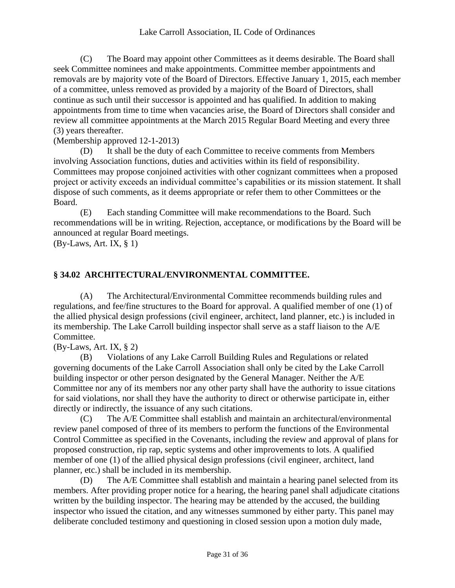(C) The Board may appoint other Committees as it deems desirable. The Board shall seek Committee nominees and make appointments. Committee member appointments and removals are by majority vote of the Board of Directors. Effective January 1, 2015, each member of a committee, unless removed as provided by a majority of the Board of Directors, shall continue as such until their successor is appointed and has qualified. In addition to making appointments from time to time when vacancies arise, the Board of Directors shall consider and review all committee appointments at the March 2015 Regular Board Meeting and every three (3) years thereafter.

## (Membership approved 12-1-2013)

(D) It shall be the duty of each Committee to receive comments from Members involving Association functions, duties and activities within its field of responsibility. Committees may propose conjoined activities with other cognizant committees when a proposed project or activity exceeds an individual committee's capabilities or its mission statement. It shall dispose of such comments, as it deems appropriate or refer them to other Committees or the Board.

(E) Each standing Committee will make recommendations to the Board. Such recommendations will be in writing. Rejection, acceptance, or modifications by the Board will be announced at regular Board meetings.

<span id="page-30-0"></span> $(By-Laws, Art. IX, § 1)$ 

## **§ 34.02 ARCHITECTURAL/ENVIRONMENTAL COMMITTEE.**

(A) The Architectural/Environmental Committee recommends building rules and regulations, and fee/fine structures to the Board for approval. A qualified member of one (1) of the allied physical design professions (civil engineer, architect, land planner, etc.) is included in its membership. The Lake Carroll building inspector shall serve as a staff liaison to the A/E Committee.

(By-Laws, Art. IX, § 2)

(B) Violations of any Lake Carroll Building Rules and Regulations or related governing documents of the Lake Carroll Association shall only be cited by the Lake Carroll building inspector or other person designated by the General Manager. Neither the A/E Committee nor any of its members nor any other party shall have the authority to issue citations for said violations, nor shall they have the authority to direct or otherwise participate in, either directly or indirectly, the issuance of any such citations.

(C) The A/E Committee shall establish and maintain an architectural/environmental review panel composed of three of its members to perform the functions of the Environmental Control Committee as specified in the Covenants, including the review and approval of plans for proposed construction, rip rap, septic systems and other improvements to lots. A qualified member of one (1) of the allied physical design professions (civil engineer, architect, land planner, etc.) shall be included in its membership.

(D) The A/E Committee shall establish and maintain a hearing panel selected from its members. After providing proper notice for a hearing, the hearing panel shall adjudicate citations written by the building inspector. The hearing may be attended by the accused, the building inspector who issued the citation, and any witnesses summoned by either party. This panel may deliberate concluded testimony and questioning in closed session upon a motion duly made,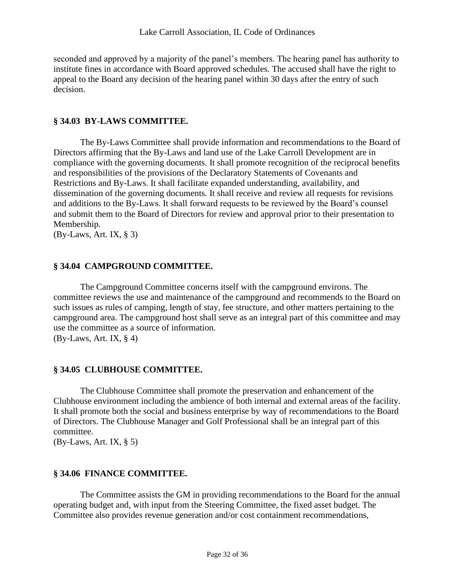seconded and approved by a majority of the panel's members. The hearing panel has authority to institute fines in accordance with Board approved schedules. The accused shall have the right to appeal to the Board any decision of the hearing panel within 30 days after the entry of such decision.

## <span id="page-31-0"></span>**§ 34.03 BY-LAWS COMMITTEE.**

The By-Laws Committee shall provide information and recommendations to the Board of Directors affirming that the By-Laws and land use of the Lake Carroll Development are in compliance with the governing documents. It shall promote recognition of the reciprocal benefits and responsibilities of the provisions of the Declaratory Statements of Covenants and Restrictions and By-Laws. It shall facilitate expanded understanding, availability, and dissemination of the governing documents. It shall receive and review all requests for revisions and additions to the By-Laws. It shall forward requests to be reviewed by the Board's counsel and submit them to the Board of Directors for review and approval prior to their presentation to Membership.

<span id="page-31-1"></span>(By-Laws, Art. IX, § 3)

## **§ 34.04 CAMPGROUND COMMITTEE.**

The Campground Committee concerns itself with the campground environs. The committee reviews the use and maintenance of the campground and recommends to the Board on such issues as rules of camping, length of stay, fee structure, and other matters pertaining to the campground area. The campground host shall serve as an integral part of this committee and may use the committee as a source of information.  $(By-Laws, Art. IX, § 4)$ 

## <span id="page-31-2"></span>**§ 34.05 CLUBHOUSE COMMITTEE.**

The Clubhouse Committee shall promote the preservation and enhancement of the Clubhouse environment including the ambience of both internal and external areas of the facility. It shall promote both the social and business enterprise by way of recommendations to the Board of Directors. The Clubhouse Manager and Golf Professional shall be an integral part of this committee.

<span id="page-31-3"></span>(By-Laws, Art. IX, § 5)

## **§ 34.06 FINANCE COMMITTEE.**

The Committee assists the GM in providing recommendations to the Board for the annual operating budget and, with input from the Steering Committee, the fixed asset budget. The Committee also provides revenue generation and/or cost containment recommendations,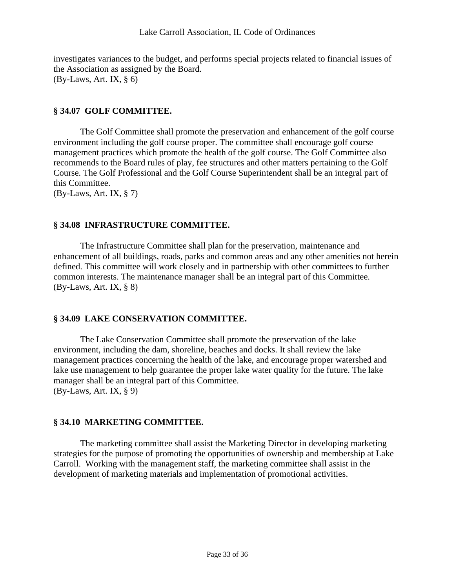investigates variances to the budget, and performs special projects related to financial issues of the Association as assigned by the Board.  $(By-Laws, Art. IX, § 6)$ 

## <span id="page-32-0"></span>**§ 34.07 GOLF COMMITTEE.**

The Golf Committee shall promote the preservation and enhancement of the golf course environment including the golf course proper. The committee shall encourage golf course management practices which promote the health of the golf course. The Golf Committee also recommends to the Board rules of play, fee structures and other matters pertaining to the Golf Course. The Golf Professional and the Golf Course Superintendent shall be an integral part of this Committee.

<span id="page-32-1"></span>(By-Laws, Art. IX, § 7)

## **§ 34.08 INFRASTRUCTURE COMMITTEE.**

The Infrastructure Committee shall plan for the preservation, maintenance and enhancement of all buildings, roads, parks and common areas and any other amenities not herein defined. This committee will work closely and in partnership with other committees to further common interests. The maintenance manager shall be an integral part of this Committee. (By-Laws, Art. IX, § 8)

## <span id="page-32-2"></span>**§ 34.09 LAKE CONSERVATION COMMITTEE.**

The Lake Conservation Committee shall promote the preservation of the lake environment, including the dam, shoreline, beaches and docks. It shall review the lake management practices concerning the health of the lake, and encourage proper watershed and lake use management to help guarantee the proper lake water quality for the future. The lake manager shall be an integral part of this Committee. (By-Laws, Art. IX, § 9)

## <span id="page-32-3"></span>**§ 34.10 MARKETING COMMITTEE.**

The marketing committee shall assist the Marketing Director in developing marketing strategies for the purpose of promoting the opportunities of ownership and membership at Lake Carroll. Working with the management staff, the marketing committee shall assist in the development of marketing materials and implementation of promotional activities.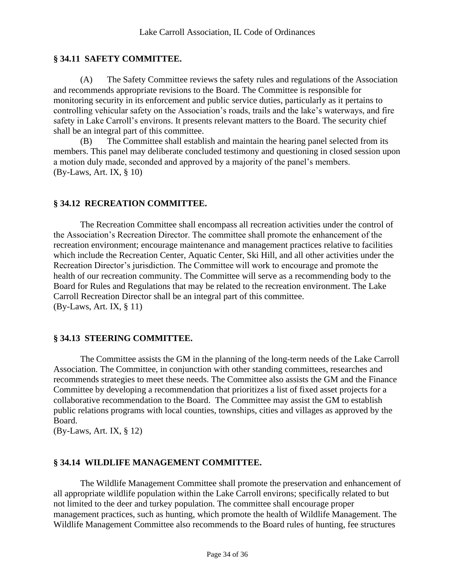## <span id="page-33-0"></span>**§ 34.11 SAFETY COMMITTEE.**

(A) The Safety Committee reviews the safety rules and regulations of the Association and recommends appropriate revisions to the Board. The Committee is responsible for monitoring security in its enforcement and public service duties, particularly as it pertains to controlling vehicular safety on the Association's roads, trails and the lake's waterways, and fire safety in Lake Carroll's environs. It presents relevant matters to the Board. The security chief shall be an integral part of this committee.

(B) The Committee shall establish and maintain the hearing panel selected from its members. This panel may deliberate concluded testimony and questioning in closed session upon a motion duly made, seconded and approved by a majority of the panel's members. (By-Laws, Art. IX, § 10)

## <span id="page-33-1"></span>**§ 34.12 RECREATION COMMITTEE.**

The Recreation Committee shall encompass all recreation activities under the control of the Association's Recreation Director. The committee shall promote the enhancement of the recreation environment; encourage maintenance and management practices relative to facilities which include the Recreation Center, Aquatic Center, Ski Hill, and all other activities under the Recreation Director's jurisdiction. The Committee will work to encourage and promote the health of our recreation community. The Committee will serve as a recommending body to the Board for Rules and Regulations that may be related to the recreation environment. The Lake Carroll Recreation Director shall be an integral part of this committee. (By-Laws, Art. IX, § 11)

## <span id="page-33-2"></span>**§ 34.13 STEERING COMMITTEE.**

The Committee assists the GM in the planning of the long-term needs of the Lake Carroll Association. The Committee, in conjunction with other standing committees, researches and recommends strategies to meet these needs. The Committee also assists the GM and the Finance Committee by developing a recommendation that prioritizes a list of fixed asset projects for a collaborative recommendation to the Board. The Committee may assist the GM to establish public relations programs with local counties, townships, cities and villages as approved by the Board.

<span id="page-33-3"></span>(By-Laws, Art. IX, § 12)

## **§ 34.14 WILDLIFE MANAGEMENT COMMITTEE.**

The Wildlife Management Committee shall promote the preservation and enhancement of all appropriate wildlife population within the Lake Carroll environs; specifically related to but not limited to the deer and turkey population. The committee shall encourage proper management practices, such as hunting, which promote the health of Wildlife Management. The Wildlife Management Committee also recommends to the Board rules of hunting, fee structures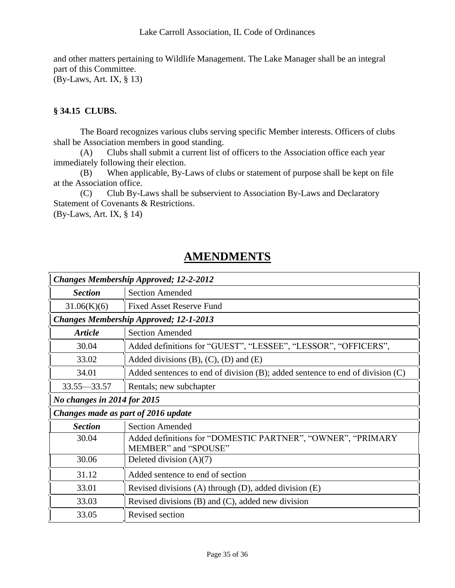and other matters pertaining to Wildlife Management. The Lake Manager shall be an integral part of this Committee. (By-Laws, Art. IX, § 13)

## <span id="page-34-0"></span>**§ 34.15 CLUBS.**

The Board recognizes various clubs serving specific Member interests. Officers of clubs shall be Association members in good standing.

(A) Clubs shall submit a current list of officers to the Association office each year immediately following their election.

(B) When applicable, By-Laws of clubs or statement of purpose shall be kept on file at the Association office.

(C) Club By-Laws shall be subservient to Association By-Laws and Declaratory Statement of Covenants & Restrictions.

(By-Laws, Art. IX, § 14)

## **AMENDMENTS**

<span id="page-34-1"></span>

| <b>Changes Membership Approved; 12-2-2012</b> |                                                                                     |  |
|-----------------------------------------------|-------------------------------------------------------------------------------------|--|
| <b>Section</b>                                | <b>Section Amended</b>                                                              |  |
| 31.06(K)(6)                                   | Fixed Asset Reserve Fund                                                            |  |
| <b>Changes Membership Approved; 12-1-2013</b> |                                                                                     |  |
| <b>Article</b>                                | <b>Section Amended</b>                                                              |  |
| 30.04                                         | Added definitions for "GUEST", "LESSEE", "LESSOR", "OFFICERS",                      |  |
| 33.02                                         | Added divisions $(B)$ , $(C)$ , $(D)$ and $(E)$                                     |  |
| 34.01                                         | Added sentences to end of division $(B)$ ; added sentence to end of division $(C)$  |  |
| $33.55 - 33.57$                               | Rentals; new subchapter                                                             |  |
| No changes in 2014 for 2015                   |                                                                                     |  |
| Changes made as part of 2016 update           |                                                                                     |  |
| <b>Section</b>                                | <b>Section Amended</b>                                                              |  |
| 30.04                                         | Added definitions for "DOMESTIC PARTNER", "OWNER", "PRIMARY<br>MEMBER" and "SPOUSE" |  |
| 30.06                                         | Deleted division $(A)(7)$                                                           |  |
| 31.12                                         | Added sentence to end of section                                                    |  |
| 33.01                                         | Revised divisions (A) through (D), added division (E)                               |  |
| 33.03                                         | Revised divisions $(B)$ and $(C)$ , added new division                              |  |
| 33.05                                         | Revised section                                                                     |  |